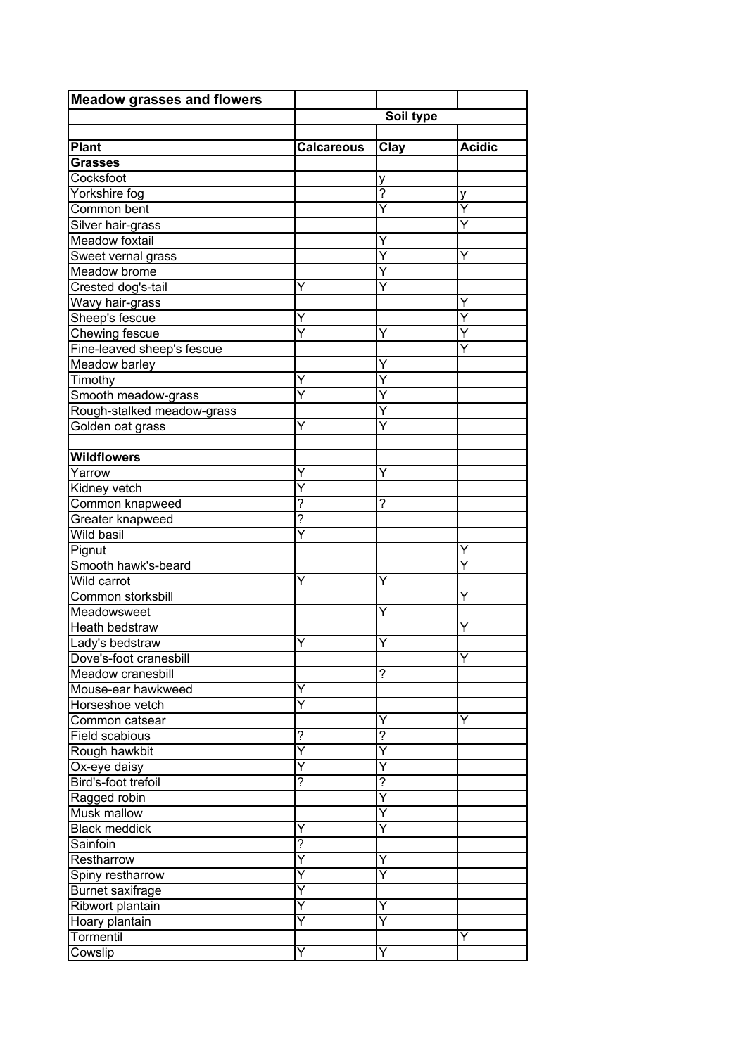| Soil type<br>Clay<br><b>Acidic</b><br><b>Calcareous</b><br><b>Grasses</b><br>Cocksfoot<br>у<br>Yorkshire fog<br>$\overline{?}$<br>у<br>Ÿ<br>Y<br>Ÿ<br>Υ<br>Y<br>Υ<br>Y<br>Y<br>Ÿ<br>Crested dog's-tail<br>Y<br>Ÿ<br>Y<br>Ÿ<br>Chewing fescue<br>Y<br>Y<br>Fine-leaved sheep's fescue<br>Y<br>Meadow barley<br>Υ<br>Timothy<br>Y<br>Y<br>Smooth meadow-grass<br>Ÿ<br>Ÿ<br>Rough-stalked meadow-grass<br>Y<br>Y<br>Y<br>Golden oat grass<br>Y<br>Yarrow<br>Y<br>Ÿ<br>Kidney vetch<br>?<br>?<br>Common knapweed<br>?<br>Greater knapweed<br>$\overline{\mathsf{Y}}$<br>Pignut<br>Y<br>Ÿ<br>Smooth hawk's-beard<br>Wild carrot<br>Ÿ<br>Y<br>Common storksbill<br>Y<br>Meadowsweet<br>Υ<br><b>Heath bedstraw</b><br>Y<br>Lady's bedstraw<br>Υ<br>Υ<br>Dove's-foot cranesbill<br>Υ<br>Meadow cranesbill<br>?<br>Mouse-ear hawkweed<br>Y<br>Horseshoe vetch<br>$\overline{\mathsf{Y}}$<br>Common catsear<br>Y<br>Y<br>$\overline{?}$<br>Field scabious<br>?<br>Ÿ<br>Ý<br>Rough hawkbit<br>Ÿ<br>Ox-eye daisy<br>Υ<br>?<br>Bird's-foot trefoil<br>$\tilde{?}$<br>Y<br>Ragged robin<br>Musk mallow<br>Y<br>Y<br><b>Black meddick</b><br>Y<br>?<br>Sainfoin<br>Ÿ<br>Restharrow<br>Y<br>Ÿ<br>Spiny restharrow<br>Y<br><b>Burnet</b> saxifrage<br>Ÿ<br>Ribwort plantain<br>Y<br>Y<br>Ÿ<br>Hoary plantain<br>Υ<br>Tormentil<br>Y | <b>Meadow grasses and flowers</b> |   |   |  |  |
|--------------------------------------------------------------------------------------------------------------------------------------------------------------------------------------------------------------------------------------------------------------------------------------------------------------------------------------------------------------------------------------------------------------------------------------------------------------------------------------------------------------------------------------------------------------------------------------------------------------------------------------------------------------------------------------------------------------------------------------------------------------------------------------------------------------------------------------------------------------------------------------------------------------------------------------------------------------------------------------------------------------------------------------------------------------------------------------------------------------------------------------------------------------------------------------------------------------------------------------------------------------------------------------------------------------------|-----------------------------------|---|---|--|--|
|                                                                                                                                                                                                                                                                                                                                                                                                                                                                                                                                                                                                                                                                                                                                                                                                                                                                                                                                                                                                                                                                                                                                                                                                                                                                                                                    |                                   |   |   |  |  |
|                                                                                                                                                                                                                                                                                                                                                                                                                                                                                                                                                                                                                                                                                                                                                                                                                                                                                                                                                                                                                                                                                                                                                                                                                                                                                                                    |                                   |   |   |  |  |
|                                                                                                                                                                                                                                                                                                                                                                                                                                                                                                                                                                                                                                                                                                                                                                                                                                                                                                                                                                                                                                                                                                                                                                                                                                                                                                                    | <b>Plant</b>                      |   |   |  |  |
|                                                                                                                                                                                                                                                                                                                                                                                                                                                                                                                                                                                                                                                                                                                                                                                                                                                                                                                                                                                                                                                                                                                                                                                                                                                                                                                    |                                   |   |   |  |  |
|                                                                                                                                                                                                                                                                                                                                                                                                                                                                                                                                                                                                                                                                                                                                                                                                                                                                                                                                                                                                                                                                                                                                                                                                                                                                                                                    |                                   |   |   |  |  |
|                                                                                                                                                                                                                                                                                                                                                                                                                                                                                                                                                                                                                                                                                                                                                                                                                                                                                                                                                                                                                                                                                                                                                                                                                                                                                                                    |                                   |   |   |  |  |
|                                                                                                                                                                                                                                                                                                                                                                                                                                                                                                                                                                                                                                                                                                                                                                                                                                                                                                                                                                                                                                                                                                                                                                                                                                                                                                                    | Common bent                       |   |   |  |  |
|                                                                                                                                                                                                                                                                                                                                                                                                                                                                                                                                                                                                                                                                                                                                                                                                                                                                                                                                                                                                                                                                                                                                                                                                                                                                                                                    | Silver hair-grass                 |   |   |  |  |
|                                                                                                                                                                                                                                                                                                                                                                                                                                                                                                                                                                                                                                                                                                                                                                                                                                                                                                                                                                                                                                                                                                                                                                                                                                                                                                                    | Meadow foxtail                    |   |   |  |  |
|                                                                                                                                                                                                                                                                                                                                                                                                                                                                                                                                                                                                                                                                                                                                                                                                                                                                                                                                                                                                                                                                                                                                                                                                                                                                                                                    | Sweet vernal grass                |   |   |  |  |
|                                                                                                                                                                                                                                                                                                                                                                                                                                                                                                                                                                                                                                                                                                                                                                                                                                                                                                                                                                                                                                                                                                                                                                                                                                                                                                                    | Meadow brome                      |   |   |  |  |
|                                                                                                                                                                                                                                                                                                                                                                                                                                                                                                                                                                                                                                                                                                                                                                                                                                                                                                                                                                                                                                                                                                                                                                                                                                                                                                                    |                                   |   |   |  |  |
|                                                                                                                                                                                                                                                                                                                                                                                                                                                                                                                                                                                                                                                                                                                                                                                                                                                                                                                                                                                                                                                                                                                                                                                                                                                                                                                    | Wavy hair-grass                   |   |   |  |  |
|                                                                                                                                                                                                                                                                                                                                                                                                                                                                                                                                                                                                                                                                                                                                                                                                                                                                                                                                                                                                                                                                                                                                                                                                                                                                                                                    | Sheep's fescue                    |   |   |  |  |
|                                                                                                                                                                                                                                                                                                                                                                                                                                                                                                                                                                                                                                                                                                                                                                                                                                                                                                                                                                                                                                                                                                                                                                                                                                                                                                                    |                                   |   |   |  |  |
|                                                                                                                                                                                                                                                                                                                                                                                                                                                                                                                                                                                                                                                                                                                                                                                                                                                                                                                                                                                                                                                                                                                                                                                                                                                                                                                    |                                   |   |   |  |  |
|                                                                                                                                                                                                                                                                                                                                                                                                                                                                                                                                                                                                                                                                                                                                                                                                                                                                                                                                                                                                                                                                                                                                                                                                                                                                                                                    |                                   |   |   |  |  |
|                                                                                                                                                                                                                                                                                                                                                                                                                                                                                                                                                                                                                                                                                                                                                                                                                                                                                                                                                                                                                                                                                                                                                                                                                                                                                                                    |                                   |   |   |  |  |
|                                                                                                                                                                                                                                                                                                                                                                                                                                                                                                                                                                                                                                                                                                                                                                                                                                                                                                                                                                                                                                                                                                                                                                                                                                                                                                                    |                                   |   |   |  |  |
|                                                                                                                                                                                                                                                                                                                                                                                                                                                                                                                                                                                                                                                                                                                                                                                                                                                                                                                                                                                                                                                                                                                                                                                                                                                                                                                    |                                   |   |   |  |  |
|                                                                                                                                                                                                                                                                                                                                                                                                                                                                                                                                                                                                                                                                                                                                                                                                                                                                                                                                                                                                                                                                                                                                                                                                                                                                                                                    |                                   |   |   |  |  |
|                                                                                                                                                                                                                                                                                                                                                                                                                                                                                                                                                                                                                                                                                                                                                                                                                                                                                                                                                                                                                                                                                                                                                                                                                                                                                                                    |                                   |   |   |  |  |
|                                                                                                                                                                                                                                                                                                                                                                                                                                                                                                                                                                                                                                                                                                                                                                                                                                                                                                                                                                                                                                                                                                                                                                                                                                                                                                                    | <b>Wildflowers</b>                |   |   |  |  |
|                                                                                                                                                                                                                                                                                                                                                                                                                                                                                                                                                                                                                                                                                                                                                                                                                                                                                                                                                                                                                                                                                                                                                                                                                                                                                                                    |                                   |   |   |  |  |
|                                                                                                                                                                                                                                                                                                                                                                                                                                                                                                                                                                                                                                                                                                                                                                                                                                                                                                                                                                                                                                                                                                                                                                                                                                                                                                                    |                                   |   |   |  |  |
|                                                                                                                                                                                                                                                                                                                                                                                                                                                                                                                                                                                                                                                                                                                                                                                                                                                                                                                                                                                                                                                                                                                                                                                                                                                                                                                    |                                   |   |   |  |  |
|                                                                                                                                                                                                                                                                                                                                                                                                                                                                                                                                                                                                                                                                                                                                                                                                                                                                                                                                                                                                                                                                                                                                                                                                                                                                                                                    |                                   |   |   |  |  |
|                                                                                                                                                                                                                                                                                                                                                                                                                                                                                                                                                                                                                                                                                                                                                                                                                                                                                                                                                                                                                                                                                                                                                                                                                                                                                                                    | Wild basil                        |   |   |  |  |
|                                                                                                                                                                                                                                                                                                                                                                                                                                                                                                                                                                                                                                                                                                                                                                                                                                                                                                                                                                                                                                                                                                                                                                                                                                                                                                                    |                                   |   |   |  |  |
|                                                                                                                                                                                                                                                                                                                                                                                                                                                                                                                                                                                                                                                                                                                                                                                                                                                                                                                                                                                                                                                                                                                                                                                                                                                                                                                    |                                   |   |   |  |  |
|                                                                                                                                                                                                                                                                                                                                                                                                                                                                                                                                                                                                                                                                                                                                                                                                                                                                                                                                                                                                                                                                                                                                                                                                                                                                                                                    |                                   |   |   |  |  |
|                                                                                                                                                                                                                                                                                                                                                                                                                                                                                                                                                                                                                                                                                                                                                                                                                                                                                                                                                                                                                                                                                                                                                                                                                                                                                                                    |                                   |   |   |  |  |
|                                                                                                                                                                                                                                                                                                                                                                                                                                                                                                                                                                                                                                                                                                                                                                                                                                                                                                                                                                                                                                                                                                                                                                                                                                                                                                                    |                                   |   |   |  |  |
|                                                                                                                                                                                                                                                                                                                                                                                                                                                                                                                                                                                                                                                                                                                                                                                                                                                                                                                                                                                                                                                                                                                                                                                                                                                                                                                    |                                   |   |   |  |  |
|                                                                                                                                                                                                                                                                                                                                                                                                                                                                                                                                                                                                                                                                                                                                                                                                                                                                                                                                                                                                                                                                                                                                                                                                                                                                                                                    |                                   |   |   |  |  |
|                                                                                                                                                                                                                                                                                                                                                                                                                                                                                                                                                                                                                                                                                                                                                                                                                                                                                                                                                                                                                                                                                                                                                                                                                                                                                                                    |                                   |   |   |  |  |
|                                                                                                                                                                                                                                                                                                                                                                                                                                                                                                                                                                                                                                                                                                                                                                                                                                                                                                                                                                                                                                                                                                                                                                                                                                                                                                                    |                                   |   |   |  |  |
|                                                                                                                                                                                                                                                                                                                                                                                                                                                                                                                                                                                                                                                                                                                                                                                                                                                                                                                                                                                                                                                                                                                                                                                                                                                                                                                    |                                   |   |   |  |  |
|                                                                                                                                                                                                                                                                                                                                                                                                                                                                                                                                                                                                                                                                                                                                                                                                                                                                                                                                                                                                                                                                                                                                                                                                                                                                                                                    |                                   |   |   |  |  |
|                                                                                                                                                                                                                                                                                                                                                                                                                                                                                                                                                                                                                                                                                                                                                                                                                                                                                                                                                                                                                                                                                                                                                                                                                                                                                                                    |                                   |   |   |  |  |
|                                                                                                                                                                                                                                                                                                                                                                                                                                                                                                                                                                                                                                                                                                                                                                                                                                                                                                                                                                                                                                                                                                                                                                                                                                                                                                                    |                                   |   |   |  |  |
|                                                                                                                                                                                                                                                                                                                                                                                                                                                                                                                                                                                                                                                                                                                                                                                                                                                                                                                                                                                                                                                                                                                                                                                                                                                                                                                    |                                   |   |   |  |  |
|                                                                                                                                                                                                                                                                                                                                                                                                                                                                                                                                                                                                                                                                                                                                                                                                                                                                                                                                                                                                                                                                                                                                                                                                                                                                                                                    |                                   |   |   |  |  |
|                                                                                                                                                                                                                                                                                                                                                                                                                                                                                                                                                                                                                                                                                                                                                                                                                                                                                                                                                                                                                                                                                                                                                                                                                                                                                                                    |                                   |   |   |  |  |
|                                                                                                                                                                                                                                                                                                                                                                                                                                                                                                                                                                                                                                                                                                                                                                                                                                                                                                                                                                                                                                                                                                                                                                                                                                                                                                                    |                                   |   |   |  |  |
|                                                                                                                                                                                                                                                                                                                                                                                                                                                                                                                                                                                                                                                                                                                                                                                                                                                                                                                                                                                                                                                                                                                                                                                                                                                                                                                    |                                   |   |   |  |  |
|                                                                                                                                                                                                                                                                                                                                                                                                                                                                                                                                                                                                                                                                                                                                                                                                                                                                                                                                                                                                                                                                                                                                                                                                                                                                                                                    |                                   |   |   |  |  |
|                                                                                                                                                                                                                                                                                                                                                                                                                                                                                                                                                                                                                                                                                                                                                                                                                                                                                                                                                                                                                                                                                                                                                                                                                                                                                                                    |                                   |   |   |  |  |
|                                                                                                                                                                                                                                                                                                                                                                                                                                                                                                                                                                                                                                                                                                                                                                                                                                                                                                                                                                                                                                                                                                                                                                                                                                                                                                                    |                                   |   |   |  |  |
|                                                                                                                                                                                                                                                                                                                                                                                                                                                                                                                                                                                                                                                                                                                                                                                                                                                                                                                                                                                                                                                                                                                                                                                                                                                                                                                    |                                   |   |   |  |  |
|                                                                                                                                                                                                                                                                                                                                                                                                                                                                                                                                                                                                                                                                                                                                                                                                                                                                                                                                                                                                                                                                                                                                                                                                                                                                                                                    |                                   |   |   |  |  |
|                                                                                                                                                                                                                                                                                                                                                                                                                                                                                                                                                                                                                                                                                                                                                                                                                                                                                                                                                                                                                                                                                                                                                                                                                                                                                                                    |                                   |   |   |  |  |
|                                                                                                                                                                                                                                                                                                                                                                                                                                                                                                                                                                                                                                                                                                                                                                                                                                                                                                                                                                                                                                                                                                                                                                                                                                                                                                                    |                                   |   |   |  |  |
|                                                                                                                                                                                                                                                                                                                                                                                                                                                                                                                                                                                                                                                                                                                                                                                                                                                                                                                                                                                                                                                                                                                                                                                                                                                                                                                    |                                   |   |   |  |  |
|                                                                                                                                                                                                                                                                                                                                                                                                                                                                                                                                                                                                                                                                                                                                                                                                                                                                                                                                                                                                                                                                                                                                                                                                                                                                                                                    | Cowslip                           | Y | Ý |  |  |